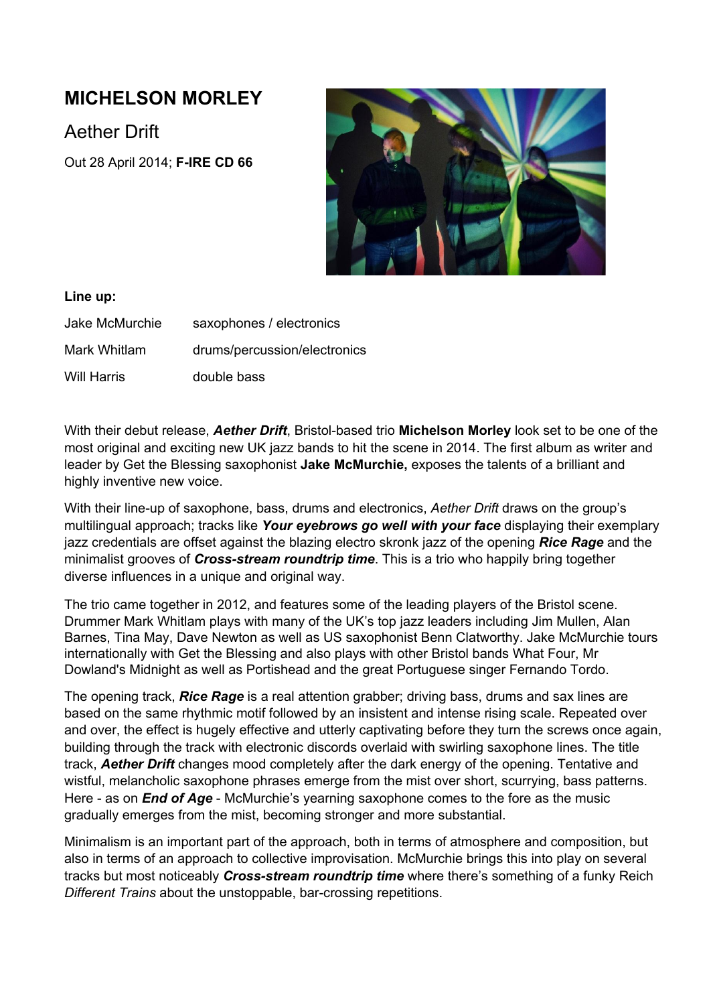# **MICHELSON MORLEY**

Aether Drift

Out 28 April 2014; **FIRE CD 66**



### **Line up:**

Jake McMurchie saxophones / electronics Mark Whitlam drums/percussion/electronics Will Harris double bass

With their debut release, **Aether Drift**, Bristol-based trio Michelson Morley look set to be one of the most original and exciting new UK jazz bands to hit the scene in 2014. The first album as writer and leader by Get the Blessing saxophonist **Jake McMurchie,** exposes the talents of a brilliant and highly inventive new voice.

With their line-up of saxophone, bass, drums and electronics, Aether Drift draws on the group's multilingual approach; tracks like *Your eyebrows go well with your face* displaying their exemplary jazz credentials are offset against the blazing electro skronk jazz of the opening *Rice Rage* and the minimalist grooves of *Cross-stream roundtrip time*. This is a trio who happily bring together diverse influences in a unique and original way.

The trio came together in 2012, and features some of the leading players of the Bristol scene. Drummer Mark Whitlam plays with many of the UK's top jazz leaders including Jim Mullen, Alan Barnes, Tina May, Dave Newton as well as US saxophonist Benn Clatworthy. Jake McMurchie tours internationally with Get the Blessing and also plays with other Bristol bands What Four, Mr Dowland's Midnight as well as Portishead and the great Portuguese singer Fernando Tordo.

The opening track, *Rice Rage* is a real attention grabber; driving bass, drums and sax lines are based on the same rhythmic motif followed by an insistent and intense rising scale. Repeated over and over, the effect is hugely effective and utterly captivating before they turn the screws once again, building through the track with electronic discords overlaid with swirling saxophone lines. The title track, *Aether Drift* changes mood completely after the dark energy of the opening. Tentative and wistful, melancholic saxophone phrases emerge from the mist over short, scurrying, bass patterns. Here - as on *End* of *Age* - McMurchie's yearning saxophone comes to the fore as the music gradually emerges from the mist, becoming stronger and more substantial.

Minimalism is an important part of the approach, both in terms of atmosphere and composition, but also in terms of an approach to collective improvisation. McMurchie brings this into play on several tracks but most noticeably *Crossstream roundtrip time* where there's something of a funky Reich **Different Trains about the unstoppable, bar-crossing repetitions.**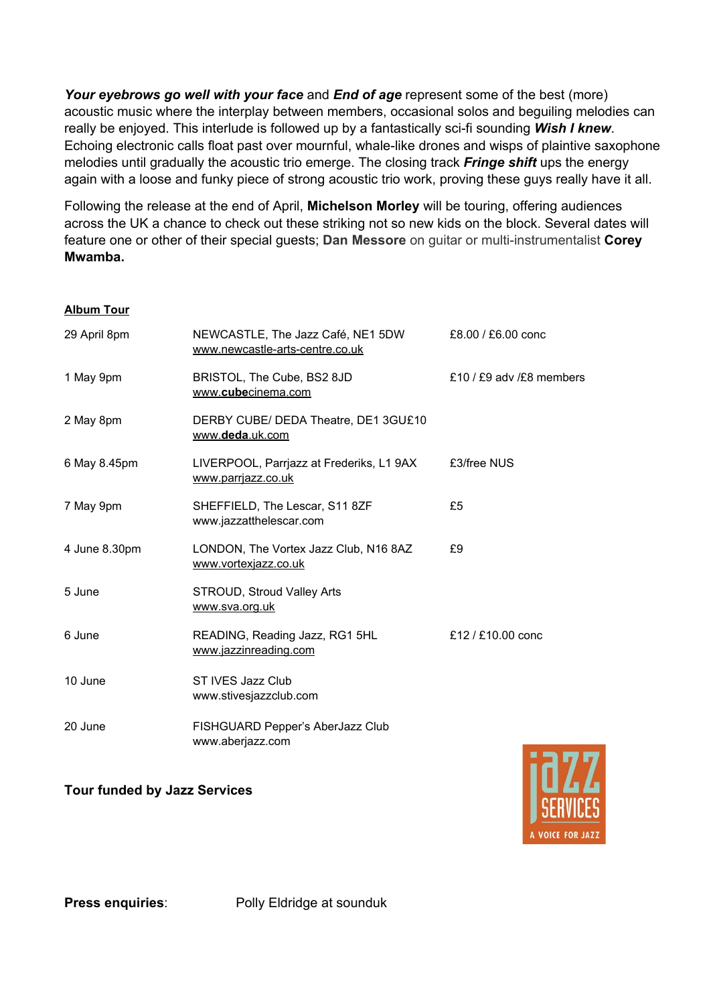*Your eyebrows go well with your face* and *End of age* represent some of the best (more) acoustic music where the interplay between members, occasional solos and beguiling melodies can really be enjoyed. This interlude is followed up by a fantastically sci-fi sounding *Wish I knew*. Echoing electronic calls float past over mournful, whale-like drones and wisps of plaintive saxophone melodies until gradually the acoustic trio emerge. The closing track *Fringe shift* ups the energy again with a loose and funky piece of strong acoustic trio work, proving these guys really have it all.

Following the release at the end of April, **Michelson Morley** will be touring, offering audiences across the UK a chance to check out these striking not so new kids on the block. Several dates will feature one or other of their special quests; **Dan Messore** on quitar or multi-instrumentalist **Corey Mwamba.**

#### **Album Tour**

| 29 April 8pm  | NEWCASTLE, The Jazz Café, NE1 5DW<br>www.newcastle-arts-centre.co.uk | £8.00 / £6.00 conc       |
|---------------|----------------------------------------------------------------------|--------------------------|
| 1 May 9pm     | BRISTOL, The Cube, BS2 8JD<br>www.cubecinema.com                     | £10 / £9 adv /£8 members |
| 2 May 8pm     | DERBY CUBE/ DEDA Theatre, DE1 3GU£10<br>www.deda.uk.com              |                          |
| 6 May 8.45pm  | LIVERPOOL, Parrjazz at Frederiks, L1 9AX<br>www.parrjazz.co.uk       | £3/free NUS              |
| 7 May 9pm     | SHEFFIELD, The Lescar, S11 8ZF<br>www.jazzatthelescar.com            | £5                       |
| 4 June 8.30pm | LONDON, The Vortex Jazz Club, N16 8AZ<br>www.vortexjazz.co.uk        | £9                       |
| 5 June        | STROUD, Stroud Valley Arts<br>www.sva.org.uk                         |                          |
| 6 June        | READING, Reading Jazz, RG1 5HL<br>www.jazzinreading.com              | £12 / £10.00 conc        |
| 10 June       | ST IVES Jazz Club<br>www.stivesjazzclub.com                          |                          |
| 20 June       | FISHGUARD Pepper's AberJazz Club<br>www.aberjazz.com                 |                          |

## **Tour funded by Jazz Services**